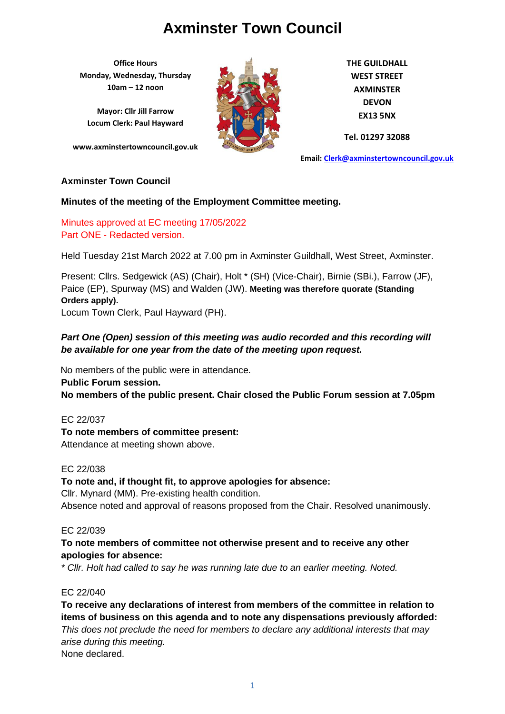**Office Hours Monday, Wednesday, Thursday 10am – 12 noon**

**Mayor: Cllr Jill Farrow Locum Clerk: Paul Hayward**

**www.axminstertowncouncil.gov.uk**



**THE GUILDHALL WEST STREET AXMINSTER DEVON EX13 5NX**

**Tel. 01297 32088**

**Email: [Clerk@axminstertowncouncil.gov.uk](file://///axm-svr-1/company/Templates/Clerk@axminstertowncouncil.gov.uk)**

## **Axminster Town Council**

#### **Minutes of the meeting of the Employment Committee meeting.**

Minutes approved at EC meeting 17/05/2022 Part ONE - Redacted version.

Held Tuesday 21st March 2022 at 7.00 pm in Axminster Guildhall, West Street, Axminster.

Present: Cllrs. Sedgewick (AS) (Chair), Holt \* (SH) (Vice-Chair), Birnie (SBi.), Farrow (JF), Paice (EP), Spurway (MS) and Walden (JW). **Meeting was therefore quorate (Standing Orders apply).** Locum Town Clerk, Paul Hayward (PH).

## *Part One (Open) session of this meeting was audio recorded and this recording will be available for one year from the date of the meeting upon request.*

No members of the public were in attendance.

**Public Forum session. No members of the public present. Chair closed the Public Forum session at 7.05pm**

EC 22/037 **To note members of committee present:** Attendance at meeting shown above.

#### EC 22/038

**To note and, if thought fit, to approve apologies for absence:**

Cllr. Mynard (MM). Pre-existing health condition. Absence noted and approval of reasons proposed from the Chair. Resolved unanimously.

#### EC 22/039

## **To note members of committee not otherwise present and to receive any other apologies for absence:**

*\* Cllr. Holt had called to say he was running late due to an earlier meeting. Noted.*

#### EC 22/040

**To receive any declarations of interest from members of the committee in relation to items of business on this agenda and to note any dispensations previously afforded:**  *This does not preclude the need for members to declare any additional interests that may arise during this meeting.* None declared.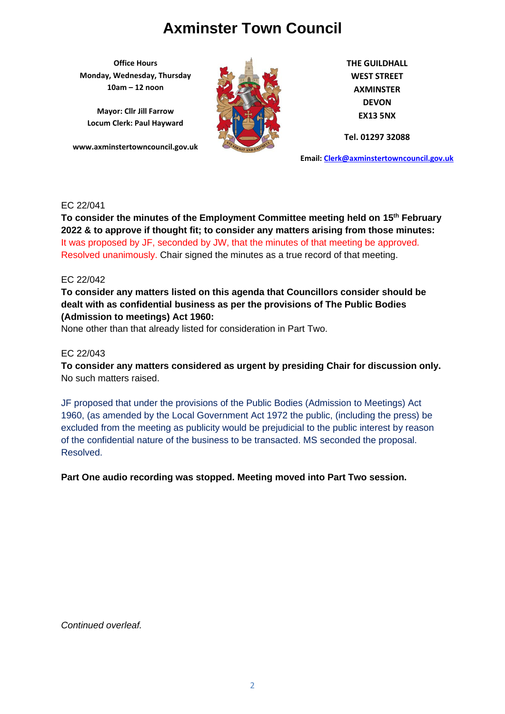**Office Hours Monday, Wednesday, Thursday 10am – 12 noon**

**Mayor: Cllr Jill Farrow Locum Clerk: Paul Hayward**

**www.axminstertowncouncil.gov.uk**



**THE GUILDHALL WEST STREET AXMINSTER DEVON EX13 5NX**

**Tel. 01297 32088**

**Email: [Clerk@axminstertowncouncil.gov.uk](file://///axm-svr-1/company/Templates/Clerk@axminstertowncouncil.gov.uk)**

#### EC 22/041

**TEL: 01297 32088 2022 & to approve if thought fit; to consider any matters arising from those minutes: To consider the minutes of the Employment Committee meeting held on 15th February**  It was proposed by JF, seconded by JW, that the minutes of that meeting be approved. Resolved unanimously. Chair signed the minutes as a true record of that meeting.

#### EC 22/042

**To consider any matters listed on this agenda that Councillors consider should be dealt with as confidential business as per the provisions of The Public Bodies (Admission to meetings) Act 1960:**

None other than that already listed for consideration in Part Two.

#### EC 22/043

**To consider any matters considered as urgent by presiding Chair for discussion only.** No such matters raised.

JF proposed that under the provisions of the Public Bodies (Admission to Meetings) Act 1960, (as amended by the Local Government Act 1972 the public, (including the press) be excluded from the meeting as publicity would be prejudicial to the public interest by reason of the confidential nature of the business to be transacted. MS seconded the proposal. Resolved.

**Part One audio recording was stopped. Meeting moved into Part Two session.**

*Continued overleaf.*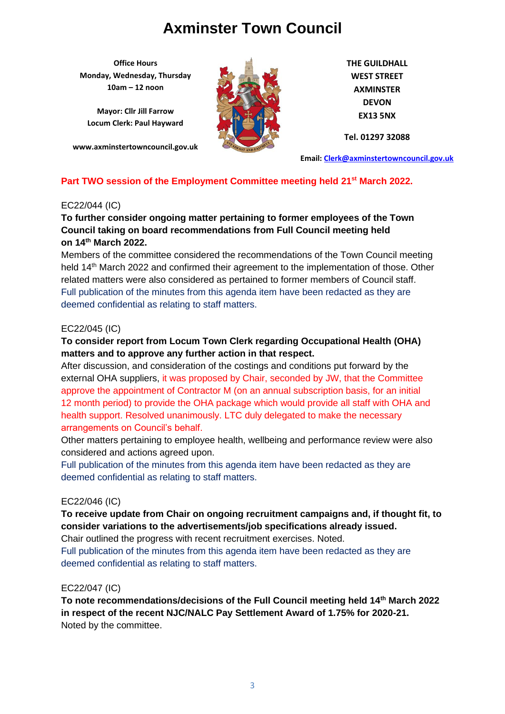**Office Hours Monday, Wednesday, Thursday 10am – 12 noon**

**Mayor: Cllr Jill Farrow Locum Clerk: Paul Hayward**

**www.axminstertowncouncil.gov.uk**



**THE GUILDHALL WEST STREET AXMINSTER DEVON EX13 5NX**

**Tel. 01297 32088**

**Email: [Clerk@axminstertowncouncil.gov.uk](file://///axm-svr-1/company/Templates/Clerk@axminstertowncouncil.gov.uk)**

## **Part TWO session of the Employment Committee meeting held 21st March 2022.**

## EC22/044 (IC)

## **Council taking on board recommendations from Full Council meeting held To further consider ongoing matter pertaining to former employees of the Town on 14th March 2022.**

Members of the committee considered the recommendations of the Town Council meeting held 14<sup>th</sup> March 2022 and confirmed their agreement to the implementation of those. Other related matters were also considered as pertained to former members of Council staff. Full publication of the minutes from this agenda item have been redacted as they are deemed confidential as relating to staff matters.

## EC22/045 (IC)

## **To consider report from Locum Town Clerk regarding Occupational Health (OHA) matters and to approve any further action in that respect.**

After discussion, and consideration of the costings and conditions put forward by the external OHA suppliers, it was proposed by Chair, seconded by JW, that the Committee approve the appointment of Contractor M (on an annual subscription basis, for an initial 12 month period) to provide the OHA package which would provide all staff with OHA and health support. Resolved unanimously. LTC duly delegated to make the necessary arrangements on Council's behalf.

Other matters pertaining to employee health, wellbeing and performance review were also considered and actions agreed upon.

Full publication of the minutes from this agenda item have been redacted as they are deemed confidential as relating to staff matters.

## EC22/046 (IC)

## **To receive update from Chair on ongoing recruitment campaigns and, if thought fit, to consider variations to the advertisements/job specifications already issued.**

Chair outlined the progress with recent recruitment exercises. Noted.

Full publication of the minutes from this agenda item have been redacted as they are deemed confidential as relating to staff matters.

#### EC22/047 (IC)

**To note recommendations/decisions of the Full Council meeting held 14th March 2022 in respect of the recent NJC/NALC Pay Settlement Award of 1.75% for 2020-21.** Noted by the committee.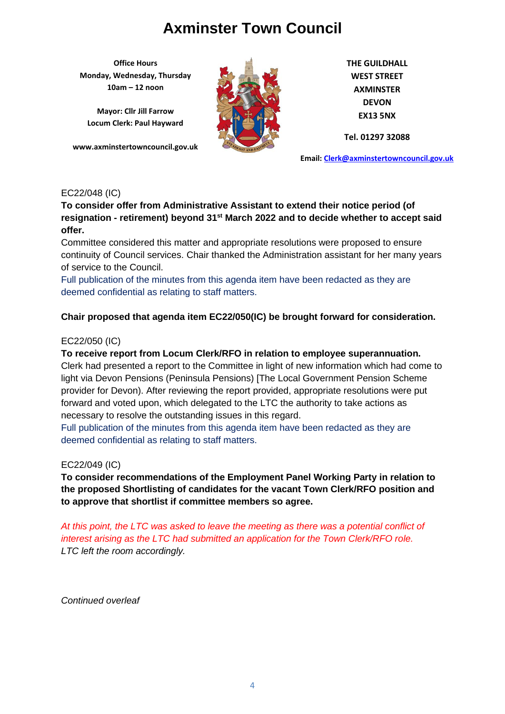**Office Hours Monday, Wednesday, Thursday 10am – 12 noon**

**Mayor: Cllr Jill Farrow Locum Clerk: Paul Hayward**

**www.axminstertowncouncil.gov.uk**



**THE GUILDHALL WEST STREET AXMINSTER DEVON EX13 5NX**

**Tel. 01297 32088**

**Email: [Clerk@axminstertowncouncil.gov.uk](file://///axm-svr-1/company/Templates/Clerk@axminstertowncouncil.gov.uk)**

## EC22/048 (IC)

**To consider offer from Administrative Assistant to extend their notice period (of resignation - retirement) beyond 31st March 2022 and to decide whether to accept said offer.**

**TEL: 01297 32088** Committee considered this matter and appropriate resolutions were proposed to ensure continuity of Council services. Chair thanked the Administration assistant for her many years of service to the Council.

Full publication of the minutes from this agenda item have been redacted as they are deemed confidential as relating to staff matters.

## **Chair proposed that agenda item EC22/050(IC) be brought forward for consideration.**

## EC22/050 (IC)

#### **To receive report from Locum Clerk/RFO in relation to employee superannuation.**

Clerk had presented a report to the Committee in light of new information which had come to light via Devon Pensions (Peninsula Pensions) [The Local Government Pension Scheme provider for Devon). After reviewing the report provided, appropriate resolutions were put forward and voted upon, which delegated to the LTC the authority to take actions as necessary to resolve the outstanding issues in this regard.

Full publication of the minutes from this agenda item have been redacted as they are deemed confidential as relating to staff matters.

## EC22/049 (IC)

**To consider recommendations of the Employment Panel Working Party in relation to the proposed Shortlisting of candidates for the vacant Town Clerk/RFO position and to approve that shortlist if committee members so agree.**

*At this point, the LTC was asked to leave the meeting as there was a potential conflict of interest arising as the LTC had submitted an application for the Town Clerk/RFO role. LTC left the room accordingly.* 

*Continued overleaf*